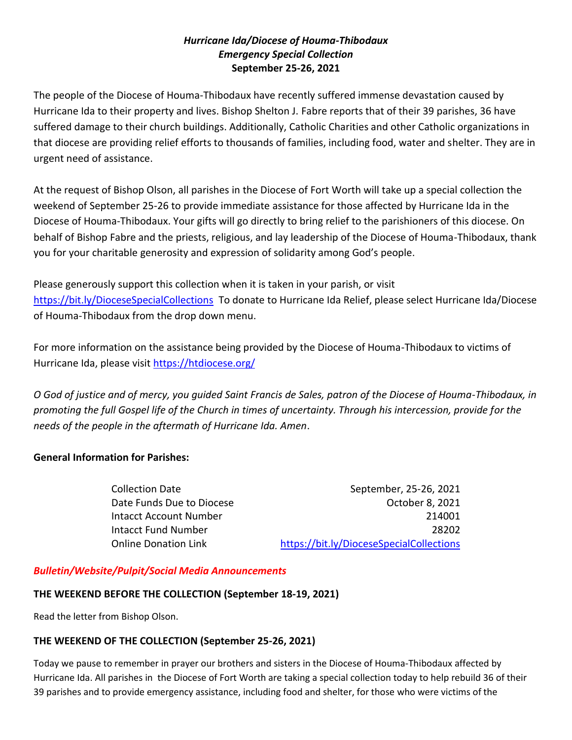# *Hurricane Ida/Diocese of Houma-Thibodaux Emergency Special Collection* **September 25-26, 2021**

The people of the Diocese of Houma-Thibodaux have recently suffered immense devastation caused by Hurricane Ida to their property and lives. Bishop Shelton J. Fabre reports that of their 39 parishes, 36 have suffered damage to their church buildings. Additionally, Catholic Charities and other Catholic organizations in that diocese are providing relief efforts to thousands of families, including food, water and shelter. They are in urgent need of assistance.

At the request of Bishop Olson, all parishes in the Diocese of Fort Worth will take up a special collection the weekend of September 25-26 to provide immediate assistance for those affected by Hurricane Ida in the Diocese of Houma-Thibodaux. Your gifts will go directly to bring relief to the parishioners of this diocese. On behalf of Bishop Fabre and the priests, religious, and lay leadership of the Diocese of Houma-Thibodaux, thank you for your charitable generosity and expression of solidarity among God's people.

Please generously support this collection when it is taken in your parish, or visit <https://bit.ly/DioceseSpecialCollections> To donate to Hurricane Ida Relief, please select Hurricane Ida/Diocese of Houma-Thibodaux from the drop down menu.

For more information on the assistance being provided by the Diocese of Houma-Thibodaux to victims of Hurricane Ida, please visit <https://htdiocese.org/>

*O God of justice and of mercy, you guided Saint Francis de Sales, patron of the Diocese of Houma-Thibodaux, in promoting the full Gospel life of the Church in times of uncertainty. Through his intercession, provide for the needs of the people in the aftermath of Hurricane Ida. Amen*.

# **General Information for Parishes:**

| <b>Collection Date</b>        | September, 25-26, 2021                   |
|-------------------------------|------------------------------------------|
| Date Funds Due to Diocese     | October 8, 2021                          |
| <b>Intacct Account Number</b> | 214001                                   |
| <b>Intacct Fund Number</b>    | 28202                                    |
| <b>Online Donation Link</b>   | https://bit.ly/DioceseSpecialCollections |

#### *Bulletin/Website/Pulpit/Social Media Announcements*

#### **THE WEEKEND BEFORE THE COLLECTION (September 18-19, 2021)**

Read the letter from Bishop Olson.

#### **THE WEEKEND OF THE COLLECTION (September 25-26, 2021)**

Today we pause to remember in prayer our brothers and sisters in the Diocese of Houma-Thibodaux affected by Hurricane Ida. All parishes in the Diocese of Fort Worth are taking a special collection today to help rebuild 36 of their 39 parishes and to provide emergency assistance, including food and shelter, for those who were victims of the